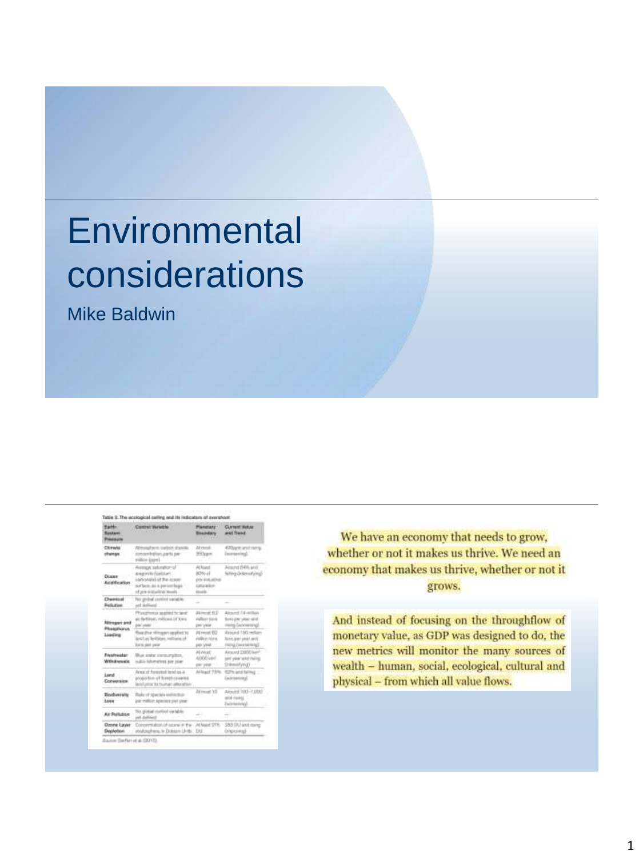# **Environmental** considerations

Mike Baldwin

| <b>Paid</b><br><b><i><u>Rusham</u></i></b><br><b>Nederland</b> | Control Variable                                                                                                                  | <b>Planetisty</b><br><b>Boundary</b>                            | Current Value<br>west Trees                                                 |
|----------------------------------------------------------------|-----------------------------------------------------------------------------------------------------------------------------------|-----------------------------------------------------------------|-----------------------------------------------------------------------------|
| Climata<br>stunge                                              | Winosafanis: partner, shakillo.<br>concertration, parts per<br>robins (care)                                                      | At most<br>Silken                                               | 400speciand story<br><b>Determined</b>                                      |
| <b>Oceans</b><br><b>Anightication</b>                          | Avenue, salunatur of<br>angority fúsiblant<br>Lightwidth (2.84 minute<br>in r faces, as a paymentage.<br>of pre-instantial levels | At load<br>80% of<br>(vis-kialuelina)<br>catalation.<br>ineral. | Atsund 84th and<br>falling Orderstying)                                     |
| Chemical<br><b>Particulare</b>                                 | First specified constitute socialistics<br>and skells and                                                                         |                                                                 |                                                                             |
| <b>Allinger and</b><br>PhotoFiche<br>Liading                   | Physiolitan is searled to tanel.<br>at fartiture, milions of tons.<br>pai saa                                                     | Ali month 612<br>mallases have<br>the Area                      | Alexand I'd writing<br>fires per year seld.<br>insing Georgenergi           |
|                                                                | feachy rilingen applied to<br>land an Institute, realizes of two<br><b>Bank part you'ar</b>                                       | At recal 922<br>rialism hims<br>per year                        | Around 190 william<br>Science Lanes and Animatic<br>minui Ewinterwazil      |
| Freshweder -<br>Withdrawals                                    | Bue and a stress rights,<br>native laborations per year.                                                                          | All niceli.<br>4.000 km <sup>2</sup><br>play year.              | Around 2,800 kim <sup>2</sup><br>part your wind chairm<br>Drivering Council |
| Land<br>Conversion                                             | Arma of forested inset as a<br>proportion of ficenth cannotes<br>land arms for human attendance                                   | ALIGAT 7376                                                     | 62% and falling<br>Geldmenting                                              |
| Biodversity<br>town                                            | Rake of specials exitective<br>(o) million species use year.                                                                      | Almof 10                                                        | Ansatt 100-1200<br>and more.<br>Delamento (g)                               |
| Air Pollubice                                                  | This global starting warteble.<br>pot delivery                                                                                    |                                                                 |                                                                             |
| <b>Ozone Layer</b><br>Deplotion                                | Concernation of ozone in the Athent UTS.<br>strutospheric le Dolmon Units. DU                                                     |                                                                 | \$83 DL ant dang<br>(singurate)                                             |

We have an economy that needs to grow, whether or not it makes us thrive. We need an economy that makes us thrive, whether or not it grows.

And instead of focusing on the throughflow of monetary value, as GDP was designed to do, the new metrics will monitor the many sources of wealth - human, social, ecological, cultural and physical - from which all value flows.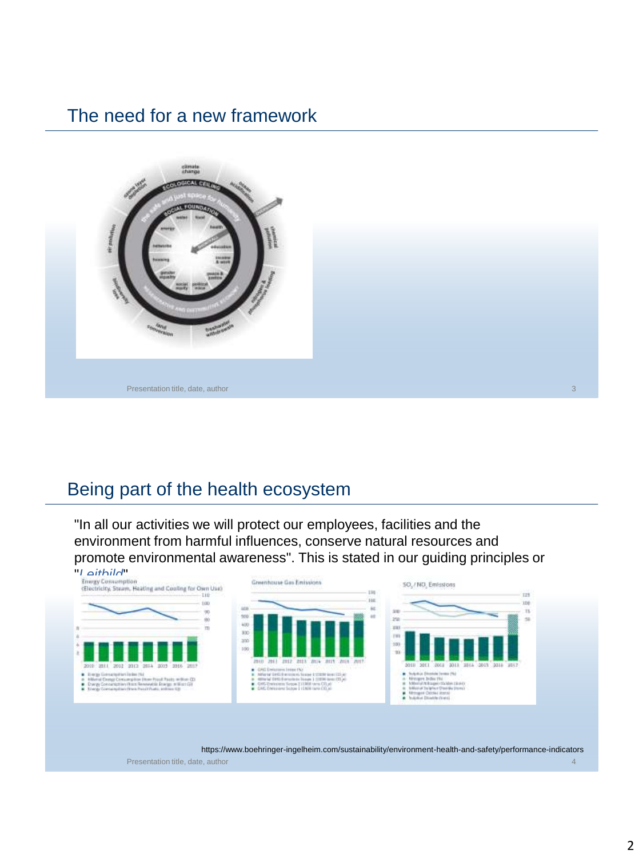#### The need for a new framework



#### Being part of the health ecosystem

"In all our activities we will protect our employees, facilities and the environment from harmful influences, conserve natural resources and promote environmental awareness". This is stated in our guiding principles or



https://www.boehringer-ingelheim.com/sustainability/environment-health-and-safety/performance-indicators

Presentation title, date, author 4 and 2008 and 2008 and 2008 and 2008 and 2008 and 2008 and 2008 and 2008 and 2008 and 2008 and 2008 and 2008 and 2008 and 2008 and 2008 and 2008 and 2008 and 2008 and 2008 and 2008 and 200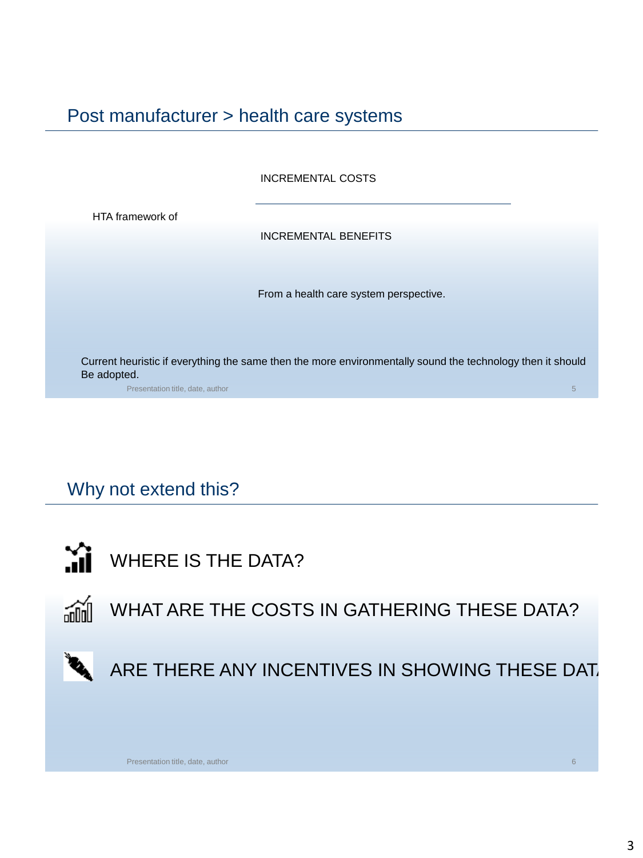Post manufacturer > health care systems

INCREMENTAL COSTS

HTA framework of

INCREMENTAL BENEFITS

From a health care system perspective.

Current heuristic if everything the same then the more environmentally sound the technology then it should Be adopted.

Presentation title, date, author

#### Why not extend this?



WHERE IS THE DATA?





Presentation title, date, author

3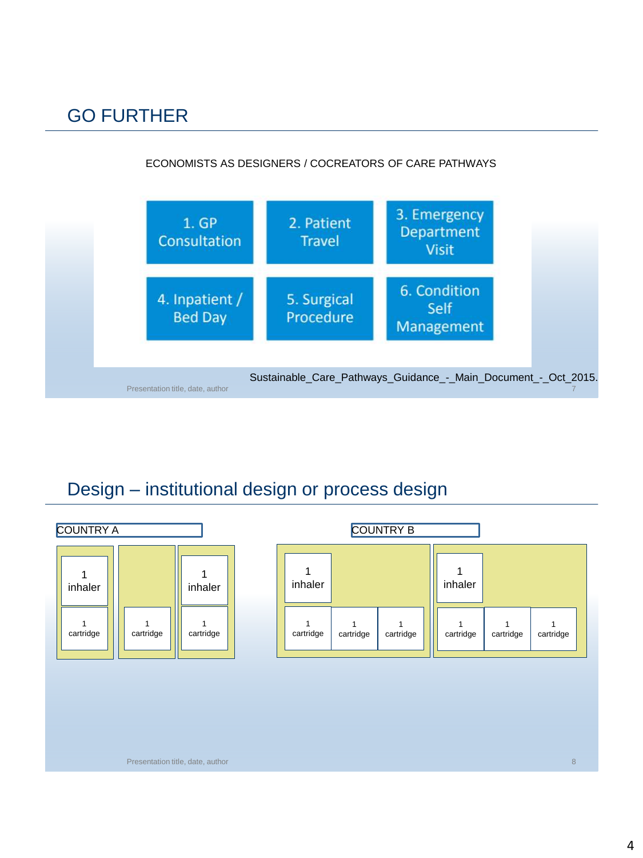### GO FURTHER

#### ECONOMISTS AS DESIGNERS / COCREATORS OF CARE PATHWAYS



#### Design – institutional design or process design